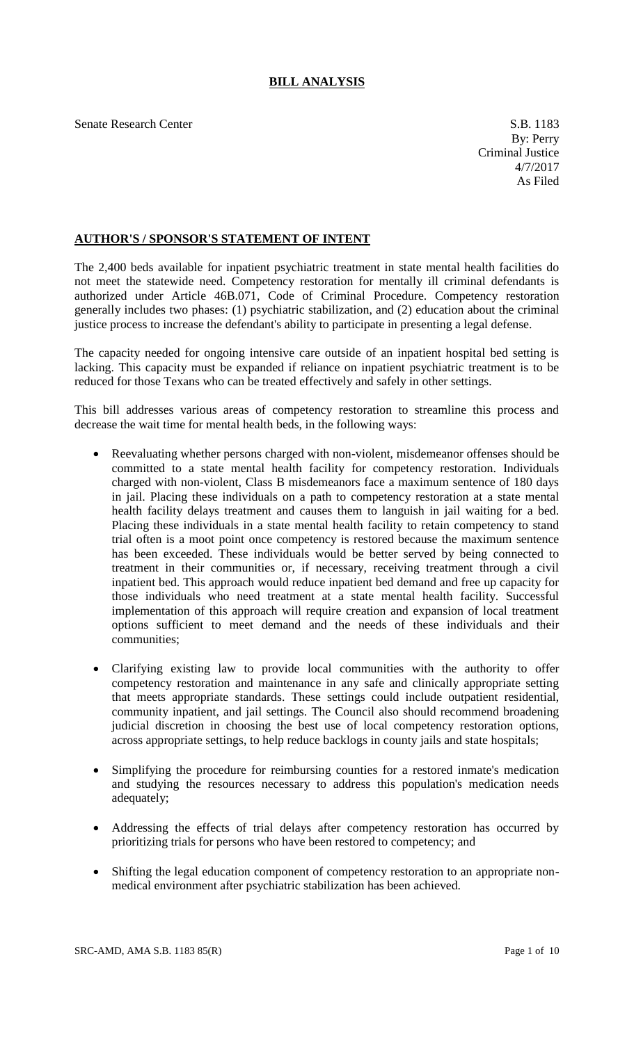## **BILL ANALYSIS**

Senate Research Center S.B. 1183

## **AUTHOR'S / SPONSOR'S STATEMENT OF INTENT**

The 2,400 beds available for inpatient psychiatric treatment in state mental health facilities do not meet the statewide need. Competency restoration for mentally ill criminal defendants is authorized under Article 46B.071, Code of Criminal Procedure. Competency restoration generally includes two phases: (1) psychiatric stabilization, and (2) education about the criminal justice process to increase the defendant's ability to participate in presenting a legal defense.

The capacity needed for ongoing intensive care outside of an inpatient hospital bed setting is lacking. This capacity must be expanded if reliance on inpatient psychiatric treatment is to be reduced for those Texans who can be treated effectively and safely in other settings.

This bill addresses various areas of competency restoration to streamline this process and decrease the wait time for mental health beds, in the following ways:

- Reevaluating whether persons charged with non-violent, misdemeanor offenses should be committed to a state mental health facility for competency restoration. Individuals charged with non-violent, Class B misdemeanors face a maximum sentence of 180 days in jail. Placing these individuals on a path to competency restoration at a state mental health facility delays treatment and causes them to languish in jail waiting for a bed. Placing these individuals in a state mental health facility to retain competency to stand trial often is a moot point once competency is restored because the maximum sentence has been exceeded. These individuals would be better served by being connected to treatment in their communities or, if necessary, receiving treatment through a civil inpatient bed. This approach would reduce inpatient bed demand and free up capacity for those individuals who need treatment at a state mental health facility. Successful implementation of this approach will require creation and expansion of local treatment options sufficient to meet demand and the needs of these individuals and their communities;
- Clarifying existing law to provide local communities with the authority to offer competency restoration and maintenance in any safe and clinically appropriate setting that meets appropriate standards. These settings could include outpatient residential, community inpatient, and jail settings. The Council also should recommend broadening judicial discretion in choosing the best use of local competency restoration options, across appropriate settings, to help reduce backlogs in county jails and state hospitals;
- Simplifying the procedure for reimbursing counties for a restored inmate's medication and studying the resources necessary to address this population's medication needs adequately;
- Addressing the effects of trial delays after competency restoration has occurred by prioritizing trials for persons who have been restored to competency; and
- Shifting the legal education component of competency restoration to an appropriate nonmedical environment after psychiatric stabilization has been achieved.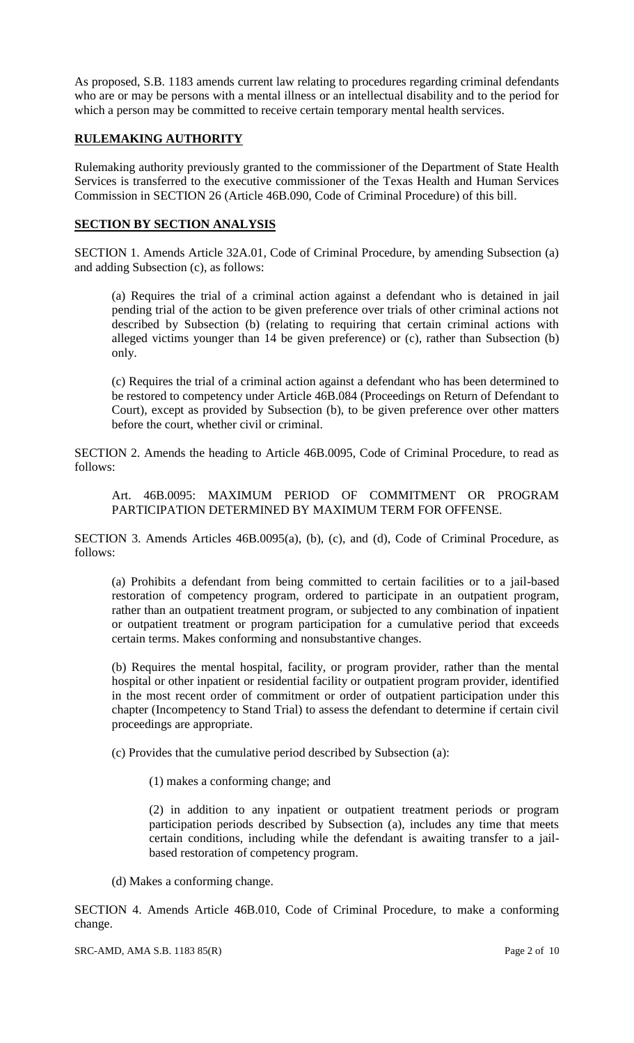As proposed, S.B. 1183 amends current law relating to procedures regarding criminal defendants who are or may be persons with a mental illness or an intellectual disability and to the period for which a person may be committed to receive certain temporary mental health services.

## **RULEMAKING AUTHORITY**

Rulemaking authority previously granted to the commissioner of the Department of State Health Services is transferred to the executive commissioner of the Texas Health and Human Services Commission in SECTION 26 (Article 46B.090, Code of Criminal Procedure) of this bill.

## **SECTION BY SECTION ANALYSIS**

SECTION 1. Amends Article 32A.01, Code of Criminal Procedure, by amending Subsection (a) and adding Subsection (c), as follows:

(a) Requires the trial of a criminal action against a defendant who is detained in jail pending trial of the action to be given preference over trials of other criminal actions not described by Subsection (b) (relating to requiring that certain criminal actions with alleged victims younger than 14 be given preference) or (c), rather than Subsection (b) only.

(c) Requires the trial of a criminal action against a defendant who has been determined to be restored to competency under Article 46B.084 (Proceedings on Return of Defendant to Court), except as provided by Subsection (b), to be given preference over other matters before the court, whether civil or criminal.

SECTION 2. Amends the heading to Article 46B.0095, Code of Criminal Procedure, to read as follows:

Art. 46B.0095: MAXIMUM PERIOD OF COMMITMENT OR PROGRAM PARTICIPATION DETERMINED BY MAXIMUM TERM FOR OFFENSE.

SECTION 3. Amends Articles 46B.0095(a), (b), (c), and (d), Code of Criminal Procedure, as follows:

(a) Prohibits a defendant from being committed to certain facilities or to a jail-based restoration of competency program, ordered to participate in an outpatient program, rather than an outpatient treatment program, or subjected to any combination of inpatient or outpatient treatment or program participation for a cumulative period that exceeds certain terms. Makes conforming and nonsubstantive changes.

(b) Requires the mental hospital, facility, or program provider, rather than the mental hospital or other inpatient or residential facility or outpatient program provider, identified in the most recent order of commitment or order of outpatient participation under this chapter (Incompetency to Stand Trial) to assess the defendant to determine if certain civil proceedings are appropriate.

(c) Provides that the cumulative period described by Subsection (a):

(1) makes a conforming change; and

(2) in addition to any inpatient or outpatient treatment periods or program participation periods described by Subsection (a), includes any time that meets certain conditions, including while the defendant is awaiting transfer to a jailbased restoration of competency program.

(d) Makes a conforming change.

SECTION 4. Amends Article 46B.010, Code of Criminal Procedure, to make a conforming change.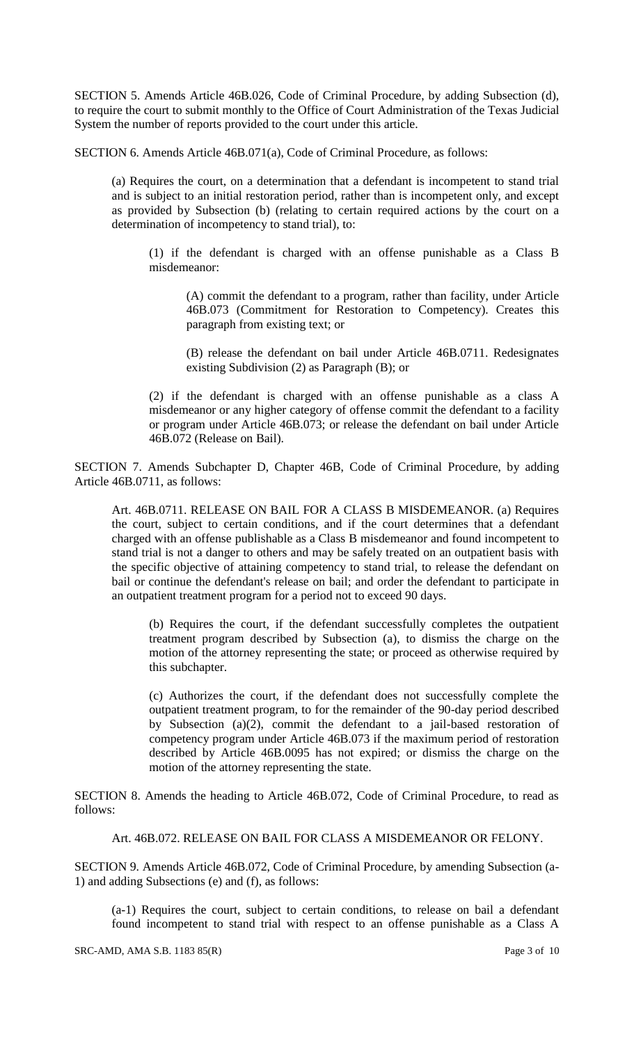SECTION 5. Amends Article 46B.026, Code of Criminal Procedure, by adding Subsection (d), to require the court to submit monthly to the Office of Court Administration of the Texas Judicial System the number of reports provided to the court under this article.

SECTION 6. Amends Article 46B.071(a), Code of Criminal Procedure, as follows:

(a) Requires the court, on a determination that a defendant is incompetent to stand trial and is subject to an initial restoration period, rather than is incompetent only, and except as provided by Subsection (b) (relating to certain required actions by the court on a determination of incompetency to stand trial), to:

(1) if the defendant is charged with an offense punishable as a Class B misdemeanor:

(A) commit the defendant to a program, rather than facility, under Article 46B.073 (Commitment for Restoration to Competency). Creates this paragraph from existing text; or

(B) release the defendant on bail under Article 46B.0711. Redesignates existing Subdivision (2) as Paragraph (B); or

(2) if the defendant is charged with an offense punishable as a class A misdemeanor or any higher category of offense commit the defendant to a facility or program under Article 46B.073; or release the defendant on bail under Article 46B.072 (Release on Bail).

SECTION 7. Amends Subchapter D, Chapter 46B, Code of Criminal Procedure, by adding Article 46B.0711, as follows:

Art. 46B.0711. RELEASE ON BAIL FOR A CLASS B MISDEMEANOR. (a) Requires the court, subject to certain conditions, and if the court determines that a defendant charged with an offense publishable as a Class B misdemeanor and found incompetent to stand trial is not a danger to others and may be safely treated on an outpatient basis with the specific objective of attaining competency to stand trial, to release the defendant on bail or continue the defendant's release on bail; and order the defendant to participate in an outpatient treatment program for a period not to exceed 90 days.

(b) Requires the court, if the defendant successfully completes the outpatient treatment program described by Subsection (a), to dismiss the charge on the motion of the attorney representing the state; or proceed as otherwise required by this subchapter.

(c) Authorizes the court, if the defendant does not successfully complete the outpatient treatment program, to for the remainder of the 90-day period described by Subsection (a)(2), commit the defendant to a jail-based restoration of competency program under Article 46B.073 if the maximum period of restoration described by Article 46B.0095 has not expired; or dismiss the charge on the motion of the attorney representing the state.

SECTION 8. Amends the heading to Article 46B.072, Code of Criminal Procedure, to read as follows:

Art. 46B.072. RELEASE ON BAIL FOR CLASS A MISDEMEANOR OR FELONY.

SECTION 9. Amends Article 46B.072, Code of Criminal Procedure, by amending Subsection (a-1) and adding Subsections (e) and (f), as follows:

(a-1) Requires the court, subject to certain conditions, to release on bail a defendant found incompetent to stand trial with respect to an offense punishable as a Class A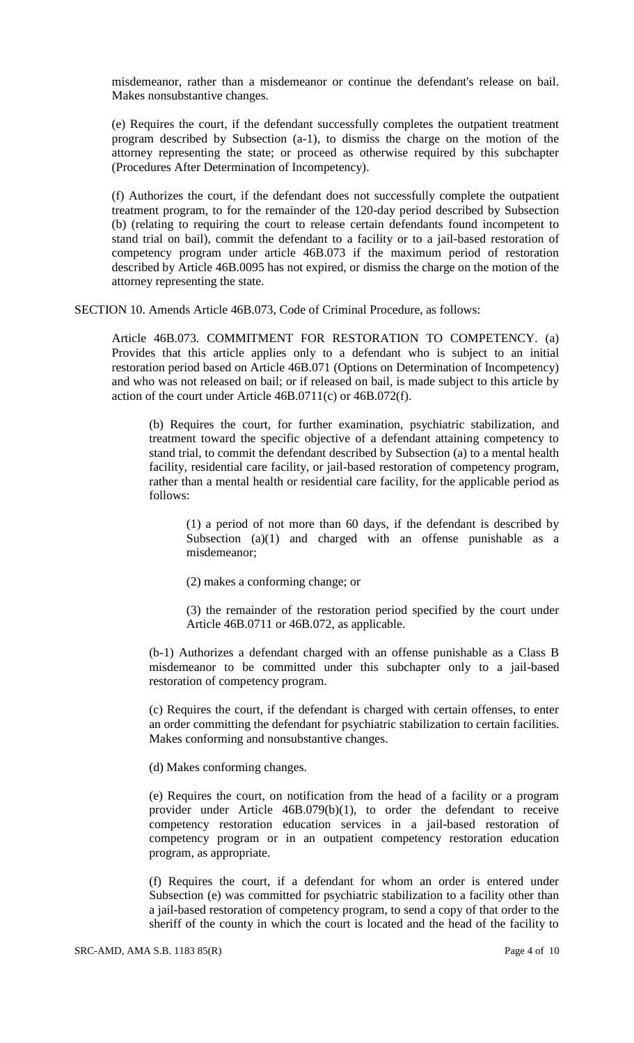misdemeanor, rather than a misdemeanor or continue the defendant's release on bail. Makes nonsubstantive changes.

(e) Requires the court, if the defendant successfully completes the outpatient treatment program described by Subsection (a-1), to dismiss the charge on the motion of the attorney representing the state; or proceed as otherwise required by this subchapter (Procedures After Determination of Incompetency).

(f) Authorizes the court, if the defendant does not successfully complete the outpatient treatment program, to for the remainder of the 120-day period described by Subsection (b) (relating to requiring the court to release certain defendants found incompetent to stand trial on bail), commit the defendant to a facility or to a jail-based restoration of competency program under article 46B.073 if the maximum period of restoration described by Article 46B.0095 has not expired, or dismiss the charge on the motion of the attorney representing the state.

SECTION 10. Amends Article 46B.073, Code of Criminal Procedure, as follows:

Article 46B.073. COMMITMENT FOR RESTORATION TO COMPETENCY. (a) Provides that this article applies only to a defendant who is subject to an initial restoration period based on Article 46B.071 (Options on Determination of Incompetency) and who was not released on bail; or if released on bail, is made subject to this article by action of the court under Article 46B.0711(c) or 46B.072(f).

(b) Requires the court, for further examination, psychiatric stabilization, and treatment toward the specific objective of a defendant attaining competency to stand trial, to commit the defendant described by Subsection (a) to a mental health facility, residential care facility, or jail-based restoration of competency program, rather than a mental health or residential care facility, for the applicable period as follows:

(1) a period of not more than 60 days, if the defendant is described by Subsection (a)(1) and charged with an offense punishable as a misdemeanor;

(2) makes a conforming change; or

(3) the remainder of the restoration period specified by the court under Article 46B.0711 or 46B.072, as applicable.

(b-1) Authorizes a defendant charged with an offense punishable as a Class B misdemeanor to be committed under this subchapter only to a jail-based restoration of competency program.

(c) Requires the court, if the defendant is charged with certain offenses, to enter an order committing the defendant for psychiatric stabilization to certain facilities. Makes conforming and nonsubstantive changes.

(d) Makes conforming changes.

(e) Requires the court, on notification from the head of a facility or a program provider under Article  $46B.079(b)(1)$ , to order the defendant to receive competency restoration education services in a jail-based restoration of competency program or in an outpatient competency restoration education program, as appropriate.

(f) Requires the court, if a defendant for whom an order is entered under Subsection (e) was committed for psychiatric stabilization to a facility other than a jail-based restoration of competency program, to send a copy of that order to the sheriff of the county in which the court is located and the head of the facility to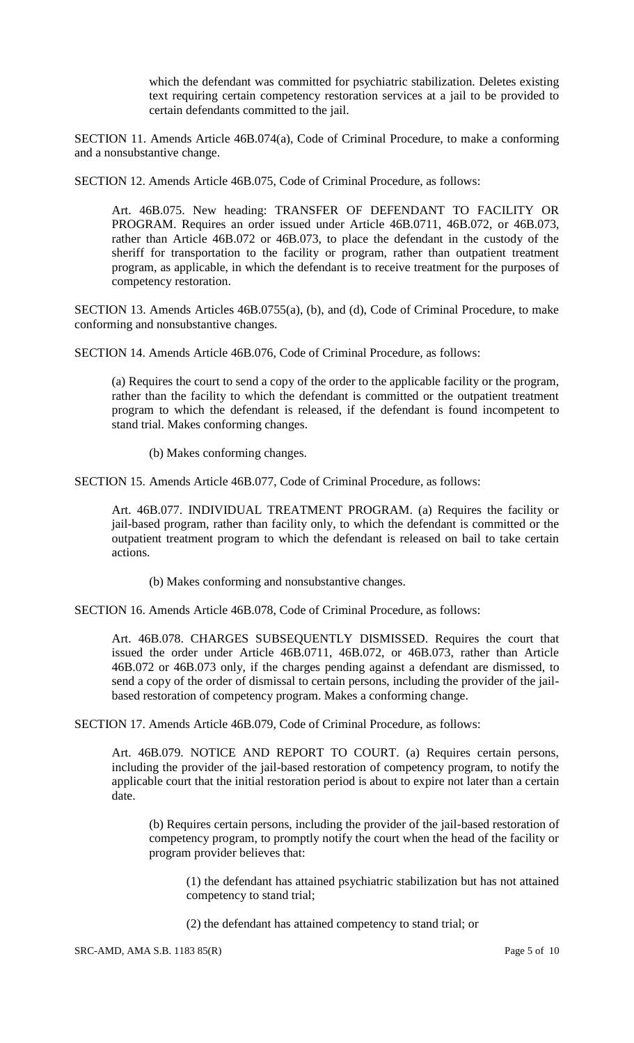which the defendant was committed for psychiatric stabilization. Deletes existing text requiring certain competency restoration services at a jail to be provided to certain defendants committed to the jail.

SECTION 11. Amends Article 46B.074(a), Code of Criminal Procedure, to make a conforming and a nonsubstantive change.

SECTION 12. Amends Article 46B.075, Code of Criminal Procedure, as follows:

Art. 46B.075. New heading: TRANSFER OF DEFENDANT TO FACILITY OR PROGRAM. Requires an order issued under Article 46B.0711, 46B.072, or 46B.073, rather than Article 46B.072 or 46B.073, to place the defendant in the custody of the sheriff for transportation to the facility or program, rather than outpatient treatment program, as applicable, in which the defendant is to receive treatment for the purposes of competency restoration.

SECTION 13. Amends Articles 46B.0755(a), (b), and (d), Code of Criminal Procedure, to make conforming and nonsubstantive changes.

SECTION 14. Amends Article 46B.076, Code of Criminal Procedure, as follows:

(a) Requires the court to send a copy of the order to the applicable facility or the program, rather than the facility to which the defendant is committed or the outpatient treatment program to which the defendant is released, if the defendant is found incompetent to stand trial. Makes conforming changes.

(b) Makes conforming changes.

SECTION 15. Amends Article 46B.077, Code of Criminal Procedure, as follows:

Art. 46B.077. INDIVIDUAL TREATMENT PROGRAM. (a) Requires the facility or jail-based program, rather than facility only, to which the defendant is committed or the outpatient treatment program to which the defendant is released on bail to take certain actions.

(b) Makes conforming and nonsubstantive changes.

SECTION 16. Amends Article 46B.078, Code of Criminal Procedure, as follows:

Art. 46B.078. CHARGES SUBSEQUENTLY DISMISSED. Requires the court that issued the order under Article 46B.0711, 46B.072, or 46B.073, rather than Article 46B.072 or 46B.073 only, if the charges pending against a defendant are dismissed, to send a copy of the order of dismissal to certain persons, including the provider of the jailbased restoration of competency program. Makes a conforming change.

SECTION 17. Amends Article 46B.079, Code of Criminal Procedure, as follows:

Art. 46B.079. NOTICE AND REPORT TO COURT. (a) Requires certain persons, including the provider of the jail-based restoration of competency program, to notify the applicable court that the initial restoration period is about to expire not later than a certain date.

(b) Requires certain persons, including the provider of the jail-based restoration of competency program, to promptly notify the court when the head of the facility or program provider believes that:

(1) the defendant has attained psychiatric stabilization but has not attained competency to stand trial;

(2) the defendant has attained competency to stand trial; or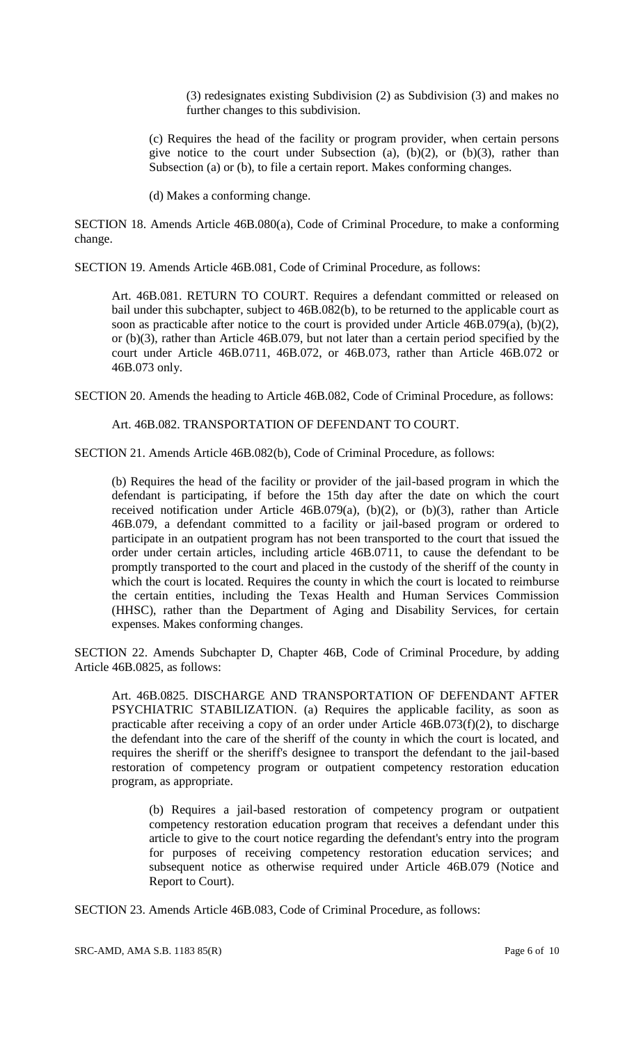(3) redesignates existing Subdivision (2) as Subdivision (3) and makes no further changes to this subdivision.

(c) Requires the head of the facility or program provider, when certain persons give notice to the court under Subsection (a),  $(b)(2)$ , or  $(b)(3)$ , rather than Subsection (a) or (b), to file a certain report. Makes conforming changes.

(d) Makes a conforming change.

SECTION 18. Amends Article 46B.080(a), Code of Criminal Procedure, to make a conforming change.

SECTION 19. Amends Article 46B.081, Code of Criminal Procedure, as follows:

Art. 46B.081. RETURN TO COURT. Requires a defendant committed or released on bail under this subchapter, subject to 46B.082(b), to be returned to the applicable court as soon as practicable after notice to the court is provided under Article 46B.079(a), (b)(2), or (b)(3), rather than Article 46B.079, but not later than a certain period specified by the court under Article 46B.0711, 46B.072, or 46B.073, rather than Article 46B.072 or 46B.073 only.

SECTION 20. Amends the heading to Article 46B.082, Code of Criminal Procedure, as follows:

Art. 46B.082. TRANSPORTATION OF DEFENDANT TO COURT.

SECTION 21. Amends Article 46B.082(b), Code of Criminal Procedure, as follows:

(b) Requires the head of the facility or provider of the jail-based program in which the defendant is participating, if before the 15th day after the date on which the court received notification under Article 46B.079(a), (b)(2), or (b)(3), rather than Article 46B.079, a defendant committed to a facility or jail-based program or ordered to participate in an outpatient program has not been transported to the court that issued the order under certain articles, including article 46B.0711, to cause the defendant to be promptly transported to the court and placed in the custody of the sheriff of the county in which the court is located. Requires the county in which the court is located to reimburse the certain entities, including the Texas Health and Human Services Commission (HHSC), rather than the Department of Aging and Disability Services, for certain expenses. Makes conforming changes.

SECTION 22. Amends Subchapter D, Chapter 46B, Code of Criminal Procedure, by adding Article 46B.0825, as follows:

Art. 46B.0825. DISCHARGE AND TRANSPORTATION OF DEFENDANT AFTER PSYCHIATRIC STABILIZATION. (a) Requires the applicable facility, as soon as practicable after receiving a copy of an order under Article 46B.073(f)(2), to discharge the defendant into the care of the sheriff of the county in which the court is located, and requires the sheriff or the sheriff's designee to transport the defendant to the jail-based restoration of competency program or outpatient competency restoration education program, as appropriate.

(b) Requires a jail-based restoration of competency program or outpatient competency restoration education program that receives a defendant under this article to give to the court notice regarding the defendant's entry into the program for purposes of receiving competency restoration education services; and subsequent notice as otherwise required under Article 46B.079 (Notice and Report to Court).

SECTION 23. Amends Article 46B.083, Code of Criminal Procedure, as follows: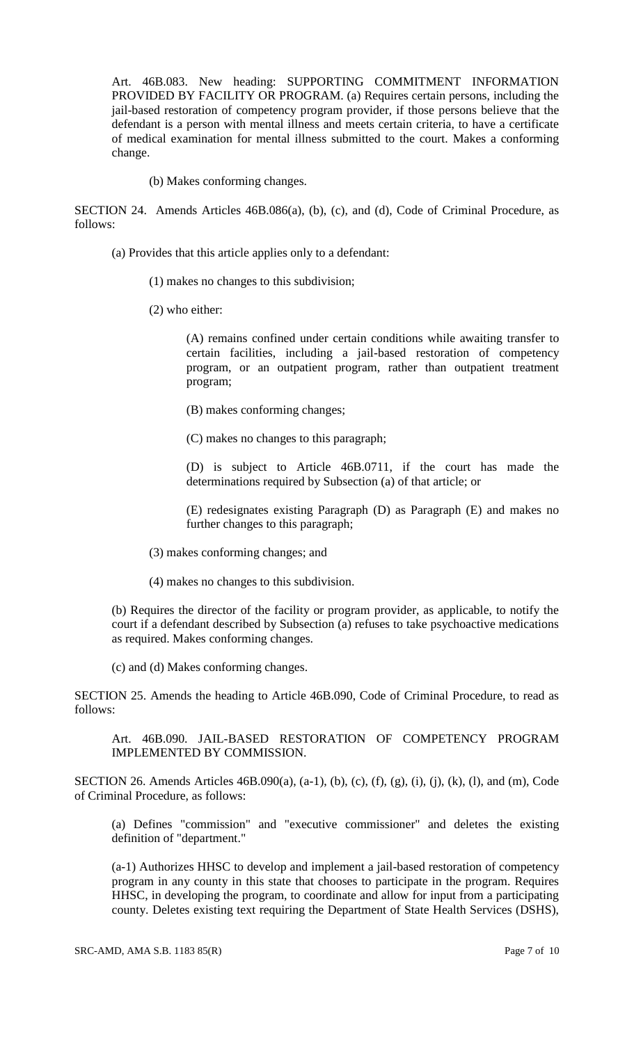Art. 46B.083. New heading: SUPPORTING COMMITMENT INFORMATION PROVIDED BY FACILITY OR PROGRAM. (a) Requires certain persons, including the jail-based restoration of competency program provider, if those persons believe that the defendant is a person with mental illness and meets certain criteria, to have a certificate of medical examination for mental illness submitted to the court. Makes a conforming change.

(b) Makes conforming changes.

SECTION 24. Amends Articles 46B.086(a), (b), (c), and (d), Code of Criminal Procedure, as follows:

- (a) Provides that this article applies only to a defendant:
	- (1) makes no changes to this subdivision;
	- (2) who either:

(A) remains confined under certain conditions while awaiting transfer to certain facilities, including a jail-based restoration of competency program, or an outpatient program, rather than outpatient treatment program;

- (B) makes conforming changes;
- (C) makes no changes to this paragraph;

(D) is subject to Article 46B.0711, if the court has made the determinations required by Subsection (a) of that article; or

(E) redesignates existing Paragraph (D) as Paragraph (E) and makes no further changes to this paragraph;

- (3) makes conforming changes; and
- (4) makes no changes to this subdivision.

(b) Requires the director of the facility or program provider, as applicable, to notify the court if a defendant described by Subsection (a) refuses to take psychoactive medications as required. Makes conforming changes.

(c) and (d) Makes conforming changes.

SECTION 25. Amends the heading to Article 46B.090, Code of Criminal Procedure, to read as follows:

Art. 46B.090. JAIL-BASED RESTORATION OF COMPETENCY PROGRAM IMPLEMENTED BY COMMISSION.

SECTION 26. Amends Articles 46B.090(a), (a-1), (b), (c), (f), (g), (i), (j), (k), (l), and (m), Code of Criminal Procedure, as follows:

(a) Defines "commission" and "executive commissioner" and deletes the existing definition of "department."

(a-1) Authorizes HHSC to develop and implement a jail-based restoration of competency program in any county in this state that chooses to participate in the program. Requires HHSC, in developing the program, to coordinate and allow for input from a participating county. Deletes existing text requiring the Department of State Health Services (DSHS),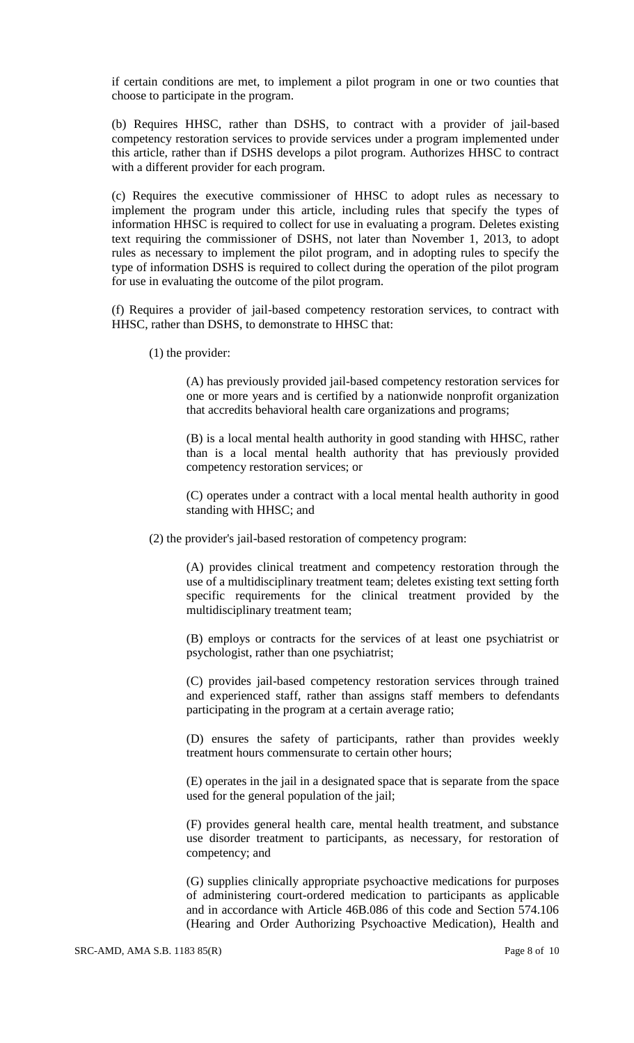if certain conditions are met, to implement a pilot program in one or two counties that choose to participate in the program.

(b) Requires HHSC, rather than DSHS, to contract with a provider of jail-based competency restoration services to provide services under a program implemented under this article, rather than if DSHS develops a pilot program. Authorizes HHSC to contract with a different provider for each program.

(c) Requires the executive commissioner of HHSC to adopt rules as necessary to implement the program under this article, including rules that specify the types of information HHSC is required to collect for use in evaluating a program. Deletes existing text requiring the commissioner of DSHS, not later than November 1, 2013, to adopt rules as necessary to implement the pilot program, and in adopting rules to specify the type of information DSHS is required to collect during the operation of the pilot program for use in evaluating the outcome of the pilot program.

(f) Requires a provider of jail-based competency restoration services, to contract with HHSC, rather than DSHS, to demonstrate to HHSC that:

(1) the provider:

(A) has previously provided jail-based competency restoration services for one or more years and is certified by a nationwide nonprofit organization that accredits behavioral health care organizations and programs;

(B) is a local mental health authority in good standing with HHSC, rather than is a local mental health authority that has previously provided competency restoration services; or

(C) operates under a contract with a local mental health authority in good standing with HHSC; and

(2) the provider's jail-based restoration of competency program:

(A) provides clinical treatment and competency restoration through the use of a multidisciplinary treatment team; deletes existing text setting forth specific requirements for the clinical treatment provided by the multidisciplinary treatment team;

(B) employs or contracts for the services of at least one psychiatrist or psychologist, rather than one psychiatrist;

(C) provides jail-based competency restoration services through trained and experienced staff, rather than assigns staff members to defendants participating in the program at a certain average ratio;

(D) ensures the safety of participants, rather than provides weekly treatment hours commensurate to certain other hours;

(E) operates in the jail in a designated space that is separate from the space used for the general population of the jail;

(F) provides general health care, mental health treatment, and substance use disorder treatment to participants, as necessary, for restoration of competency; and

(G) supplies clinically appropriate psychoactive medications for purposes of administering court-ordered medication to participants as applicable and in accordance with Article 46B.086 of this code and Section 574.106 (Hearing and Order Authorizing Psychoactive Medication), Health and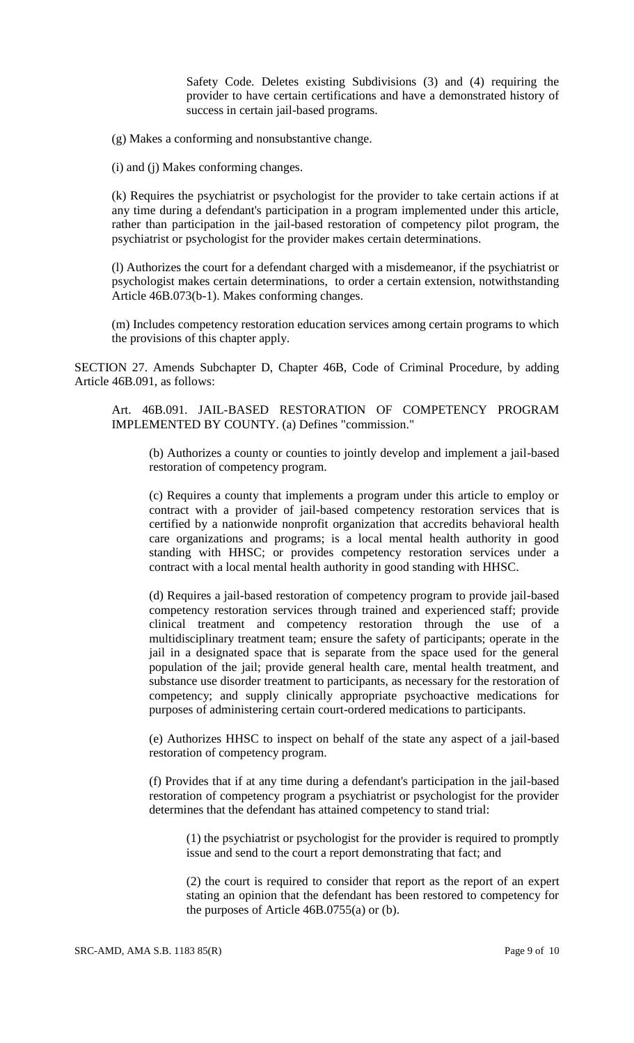Safety Code. Deletes existing Subdivisions (3) and (4) requiring the provider to have certain certifications and have a demonstrated history of success in certain jail-based programs.

(g) Makes a conforming and nonsubstantive change.

(i) and (j) Makes conforming changes.

(k) Requires the psychiatrist or psychologist for the provider to take certain actions if at any time during a defendant's participation in a program implemented under this article, rather than participation in the jail-based restoration of competency pilot program, the psychiatrist or psychologist for the provider makes certain determinations.

(l) Authorizes the court for a defendant charged with a misdemeanor, if the psychiatrist or psychologist makes certain determinations, to order a certain extension, notwithstanding Article 46B.073(b-1). Makes conforming changes.

(m) Includes competency restoration education services among certain programs to which the provisions of this chapter apply.

SECTION 27. Amends Subchapter D, Chapter 46B, Code of Criminal Procedure, by adding Article 46B.091, as follows:

Art. 46B.091. JAIL-BASED RESTORATION OF COMPETENCY PROGRAM IMPLEMENTED BY COUNTY. (a) Defines "commission."

(b) Authorizes a county or counties to jointly develop and implement a jail-based restoration of competency program.

(c) Requires a county that implements a program under this article to employ or contract with a provider of jail-based competency restoration services that is certified by a nationwide nonprofit organization that accredits behavioral health care organizations and programs; is a local mental health authority in good standing with HHSC; or provides competency restoration services under a contract with a local mental health authority in good standing with HHSC.

(d) Requires a jail-based restoration of competency program to provide jail-based competency restoration services through trained and experienced staff; provide clinical treatment and competency restoration through the use of a multidisciplinary treatment team; ensure the safety of participants; operate in the jail in a designated space that is separate from the space used for the general population of the jail; provide general health care, mental health treatment, and substance use disorder treatment to participants, as necessary for the restoration of competency; and supply clinically appropriate psychoactive medications for purposes of administering certain court-ordered medications to participants.

(e) Authorizes HHSC to inspect on behalf of the state any aspect of a jail-based restoration of competency program.

(f) Provides that if at any time during a defendant's participation in the jail-based restoration of competency program a psychiatrist or psychologist for the provider determines that the defendant has attained competency to stand trial:

(1) the psychiatrist or psychologist for the provider is required to promptly issue and send to the court a report demonstrating that fact; and

(2) the court is required to consider that report as the report of an expert stating an opinion that the defendant has been restored to competency for the purposes of Article 46B.0755(a) or (b).